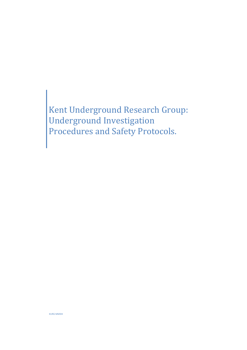Kent Underground Research Group: Underground Investigation Procedures and Safety Protocols.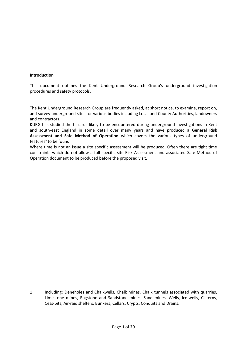#### **Introduction**

This document outlines the Kent Underground Research Group's underground investigation procedures and safety protocols.

The Kent Underground Research Group are frequently asked, at short notice, to examine, report on, and survey underground sites for various bodies including Local and County Authorities, landowners and contractors.

KURG has studied the hazards likely to be encountered during underground investigations in Kent and south-east England in some detail over many years and have produced a **General Risk Assessment and Safe Method of Operation** which covers the various types of underground features<sup>1</sup> to be found.

Where time is not an issue a site specific assessment will be produced. Often there are tight time constraints which do not allow a full specific site Risk Assessment and associated Safe Method of Operation document to be produced before the proposed visit.

1 Including: Deneholes and Chalkwells, Chalk mines, Chalk tunnels associated with quarries, Limestone mines, Ragstone and Sandstone mines, Sand mines, Wells, Ice-wells, Cisterns, Cess-pits, Air-raid shelters, Bunkers, Cellars, Crypts, Conduits and Drains.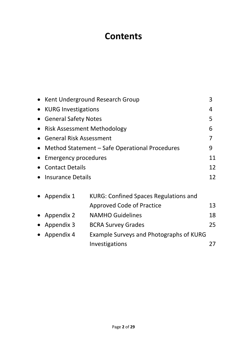# **Contents**

|           | Kent Underground Research Group                |                                              |    |  |  |  |
|-----------|------------------------------------------------|----------------------------------------------|----|--|--|--|
|           | <b>KURG Investigations</b>                     |                                              |    |  |  |  |
|           | <b>General Safety Notes</b>                    |                                              |    |  |  |  |
|           | <b>Risk Assessment Methodology</b>             |                                              | 6  |  |  |  |
|           | <b>General Risk Assessment</b>                 |                                              | 7  |  |  |  |
| $\bullet$ | Method Statement – Safe Operational Procedures |                                              |    |  |  |  |
|           | 11<br><b>Emergency procedures</b>              |                                              |    |  |  |  |
|           | <b>Contact Details</b>                         |                                              |    |  |  |  |
|           | Insurance Details                              |                                              |    |  |  |  |
|           | Appendix 1                                     | <b>KURG: Confined Spaces Regulations and</b> |    |  |  |  |
|           |                                                | <b>Approved Code of Practice</b>             | 13 |  |  |  |
|           | Appendix 2                                     | <b>NAMHO Guidelines</b>                      |    |  |  |  |
|           | Appendix 3                                     | <b>BCRA Survey Grades</b>                    | 25 |  |  |  |
|           | Appendix 4                                     | Example Surveys and Photographs of KURG      |    |  |  |  |
|           |                                                | Investigations                               | 27 |  |  |  |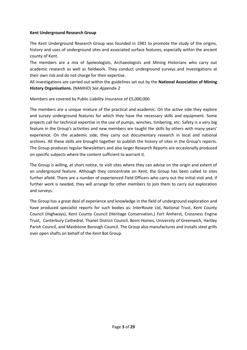## **Kent Underground Research Group**

The Kent Underground Research Group was founded in 1981 to promote the study of the origins, history and uses of underground sites and associated surface features, especially within the ancient county of Kent.

The members are a mix of Speleologists, Archaeologists and Mining Historians who carry out academic research as well as fieldwork. They conduct underground surveys and investigations at their own risk and do not charge for their expertise.

All investigations are carried out within the guidelines set out by the **National Association of Mining History Organisations.** (NAMHO) *See Appendix 2*

Members are covered by Public Liability Insurance of £5,000,000.

The members are a unique mixture of the practical and academic. On the active side they explore and survey underground features for which they have the necessary skills and equipment. Some projects call for technical expertise in the use of pumps, winches, timbering, etc. Safety is a very big feature in the Group's activities and new members are taught the skills by others with many years' experience. On the academic side, they carry out documentary research in local and national archives. All these skills are brought together to publish the history of sites in the Group's reports. The Group produces regular Newsletters and also larger Research Reports are occasionally produced on specific subjects where the content sufficient to warrant it.

The Group is willing, at short notice, to visit sites where they can advise on the origin and extent of an underground feature. Although they concentrate on Kent, the Group has been called to sites further afield. There are a number of experienced Field Officers who carry out the initial visit and, if further work is needed, they will arrange for other members to join them to carry out exploration and surveys.

The Group has a great deal of experience and knowledge in the field of underground exploration and have produced specialist reports for such bodies as: InterRoute Ltd, National Trust, Kent County Council (Highways), Kent County Council (Heritage Conservation,) Fort Amherst, Crossness Engine Trust, Canterbury Cathedral, Thanet District Council, Bovis Homes, University of Greenwich, Hartley Parish Council, and Maidstone Borough Council. The Group also manufactures and installs steel grills over open shafts on behalf of the Kent Bat Group.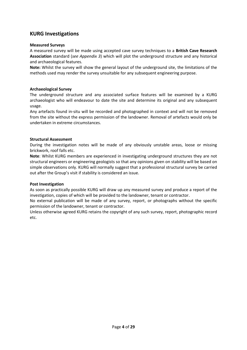# **KURG Investigations**

## **Measured Surveys**

A measured survey will be made using accepted cave survey techniques to a **British Cave Research Association** standard (*see Appendix 3*) which will plot the underground structure and any historical and archaeological features.

**Note:** Whilst the survey will show the general layout of the underground site, the limitations of the methods used may render the survey unsuitable for any subsequent engineering purpose.

## **Archaeological Survey**

The underground structure and any associated surface features will be examined by a KURG archaeologist who will endeavour to date the site and determine its original and any subsequent usage.

Any artefacts found in-situ will be recorded and photographed in context and will not be removed from the site without the express permission of the landowner. Removal of artefacts would only be undertaken in extreme circumstances.

## **Structural Assessment**

During the investigation notes will be made of any obviously unstable areas, loose or missing brickwork, roof falls etc.

**Note**: Whilst KURG members are experienced in investigating underground structures they are not structural engineers or engineering geologists so that any opinions given on stability will be based on simple observations only. KURG will normally suggest that a professional structural survey be carried out after the Group's visit if stability is considered an issue.

#### **Post Investigation**

As soon as practically possible KURG will draw up any measured survey and produce a report of the investigation, copies of which will be provided to the landowner, tenant or contractor.

No external publication will be made of any survey, report, or photographs without the specific permission of the landowner, tenant or contractor.

Unless otherwise agreed KURG retains the copyright of any such survey, report, photographic record etc.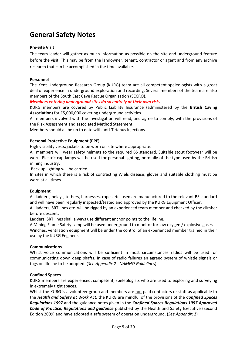# **General Safety Notes**

## **Pre-Site Visit**

The team leader will gather as much information as possible on the site and underground feature before the visit. This may be from the landowner, tenant, contractor or agent and from any archive research that can be accomplished in the time available.

### **Personnel**

The Kent Underground Research Group (KURG) team are all competent speleologists with a great deal of experience in underground exploration and recording. Several members of the team are also members of the South East Cave Rescue Organisation (SECRO).

*Members entering underground sites do so entirely at their own risk***.**

KURG members are covered by Public Liability Insurance (administered by the **British Caving Association**) for £5,000,000 covering underground activities.

All members involved with the investigation will read, and agree to comply, with the provisions of the Risk Assessment and associated Method Statement.

Members should all be up to date with anti-Tetanus injections.

## **Personal Protective Equipment (PPE)**

High visibility vests/jackets to be worn on site where appropriate.

All members will wear safety helmets to the required BS standard. Suitable stout footwear will be worn. Electric cap-lamps will be used for personal lighting, normally of the type used by the British mining industry.

Back up lighting will be carried.

In sites in which there is a risk of contracting Wiels disease, gloves and suitable clothing must be worn at all times.

#### **Equipment**

All ladders, belays, tethers, harnesses, ropes etc. used are manufactured to the relevant BS standard and will have been regularly inspected/tested and approved by the KURG Equipment Officer.

All ladders, SRT lines etc. will be rigged by an experienced team member and checked by the climber before descent.

Ladders, SRT lines shall always use different anchor points to the lifeline.

A Mining Flame Safety Lamp will be used underground to monitor for low oxygen / explosive gases. Winches, ventilation equipment will be under the control of an experienced member trained in their use by the KURG Engineer.

#### **Communications**

Whilst voice communications will be sufficient in most circumstances radios will be used for communicating down deep shafts. In case of radio failures an agreed system of whistle signals or tugs on lifeline to be adopted. (*See Appendix 2 - NAMHO Guidelines*)

#### **Confined Spaces**

KURG members are experienced, competent, speleologists who are used to exploring and surveying in extremely tight spaces.

Whilst the KURG is a volunteer group and members are not paid contactors or staff as applicable to the *Health and Safety at Work Act***,** the KURG are mindful of the provisions of the *Confined Spaces Regulations 1997* and the guidance notes given in the *Confined Spaces Regulations 1997 Approved Code of Practice, Regulations and guidance* published by the Health and Safety Executive (Second Edition 2009) and have adopted a safe system of operation underground. (*See Appendix 1*)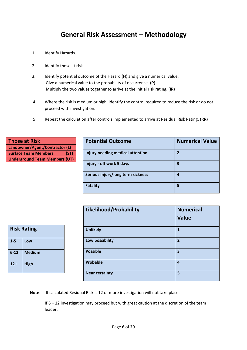# **General Risk Assessment – Methodology**

- 1. Identify Hazards.
- 2. Identify those at risk
- 3. Identify potential outcome of the Hazard (**H**) and give a numerical value. Give a numerical value to the probability of occurrence. (**P**) Multiply the two values together to arrive at the initial risk rating. (**IR**)
- 4. Where the risk is medium or high, identify the control required to reduce the risk or do not proceed with investigation.
- 5. Repeat the calculation after controls implemented to arrive at Residual Risk Rating. (**RR**)

| <b>Those at Risk</b>                 | <b>Potential Outcome</b>          | <b>Numerical Value</b> |
|--------------------------------------|-----------------------------------|------------------------|
| Landowner/Agent/Contractor (L)       |                                   |                        |
| (ST)<br><b>Surface Team Members</b>  | Injury needing medical attention  |                        |
| <b>Underground Team Members (UT)</b> |                                   |                        |
|                                      | Injury - off work 5 days          | 3                      |
|                                      |                                   |                        |
|                                      | Serious injury/long term sickness |                        |
|                                      |                                   |                        |
|                                      | Fatality                          |                        |

| <b>Risk Rating</b> |               |  |  |  |  |  |
|--------------------|---------------|--|--|--|--|--|
| $1 - 5$            | Low           |  |  |  |  |  |
| $6 - 12$           | <b>Medium</b> |  |  |  |  |  |
| $12+$              | <b>High</b>   |  |  |  |  |  |

| Likelihood/Probability | <b>Numerical</b><br><b>Value</b> |
|------------------------|----------------------------------|
| <b>Unlikely</b>        | $\mathbf{1}$                     |
| Low possibility        | $\overline{2}$                   |
| <b>Possible</b>        | 3                                |
| Probable               | $\overline{4}$                   |
| <b>Near certainty</b>  | 5                                |

**Note**: If calculated Residual Risk is 12 or more investigation will not take place.

If 6 – 12 investigation may proceed but with great caution at the discretion of the team leader.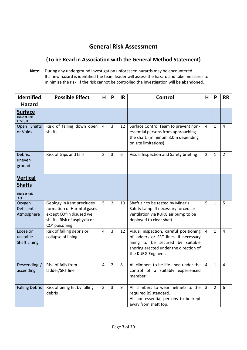# **General Risk Assessment**

# **(To be Read in Association with the General Method Statement)**

**Note:** During any underground investigation unforeseen hazards may be encountered. If a new hazard is identified the team leader will assess the hazard and take measures to minimise the risk. If the risk cannot be controlled the investigation will be abandoned.

| Identified                                                      | <b>Possible Effect</b>                                                                                                                              | H              | P              | <b>IR</b> | <b>Control</b>                                                                                                                                                                      | H              | P              | <b>RR</b>      |
|-----------------------------------------------------------------|-----------------------------------------------------------------------------------------------------------------------------------------------------|----------------|----------------|-----------|-------------------------------------------------------------------------------------------------------------------------------------------------------------------------------------|----------------|----------------|----------------|
| <b>Hazard</b>                                                   |                                                                                                                                                     |                |                |           |                                                                                                                                                                                     |                |                |                |
| <b>Surface</b><br>Those at Risk:<br>L, ST, UT                   |                                                                                                                                                     |                |                |           |                                                                                                                                                                                     |                |                |                |
| Open Shafts<br>or Voids                                         | Risk of falling down open<br>shafts                                                                                                                 | $\overline{4}$ | $\overline{3}$ | 12        | Surface Control Team to prevent non-<br>essential persons from approaching<br>the shaft. (minimum 3.0m depending<br>on site limitations)                                            | 4              | $\mathbf{1}$   | 4              |
| Debris,<br>uneven<br>ground                                     | Risk of trips and falls                                                                                                                             | $\overline{2}$ | $\overline{3}$ | 6         | Visual Inspection and Safety briefing                                                                                                                                               | $\overline{2}$ | $\mathbf{1}$   | $\overline{2}$ |
| <b>Vertical</b><br><b>Shafts</b><br><b>Those at Risk:</b><br>UT |                                                                                                                                                     |                |                |           |                                                                                                                                                                                     |                |                |                |
| Oxygen<br><b>Deficient</b><br>Atmosphere                        | Geology in Kent precludes<br>formation of Harmful gases<br>except CO <sup>2</sup> in disused well<br>shafts. Risk of asphyxia or<br>$CO2$ poisoning | 5              | $\overline{2}$ | 10        | Shaft air to be tested by Miner's<br>Safety Lamp. If necessary forced air<br>ventilation via KURG air pump to be<br>deployed to clear shaft.                                        | 5              | $\mathbf{1}$   | 5              |
| Loose or<br>unstable<br><b>Shaft Lining</b>                     | Risk of falling debris or<br>collapse of lining.                                                                                                    | $\overline{4}$ | $\overline{3}$ | 12        | Visual inspection, careful positioning<br>of ladders or SRT lines. If necessary<br>lining to be secured by suitable<br>shoring erected under the direction of<br>the KURG Engineer. | 4              | $\mathbf{1}$   | 4              |
| Descending /<br>ascending                                       | Risk of falls from<br>ladder/SRT line                                                                                                               | 4              | $\overline{2}$ | 8         | All climbers to be life-lined under the<br>control of a suitably experienced<br>member.                                                                                             | 4              | $\mathbf{1}$   | 4              |
| <b>Falling Debris</b>                                           | Risk of being hit by falling<br>debris                                                                                                              | 3              | $\overline{3}$ | 9         | All climbers to wear helmets to the<br>required BS standard.<br>All non-essential persons to be kept<br>away from shaft top.                                                        | 3              | $\overline{2}$ | 6              |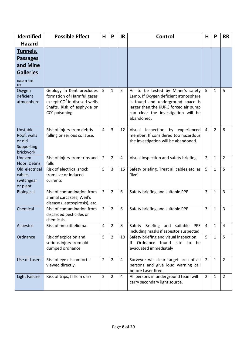| <b>Identified</b>                                            | <b>Possible Effect</b>                                                                                                                               | H              | P              | <b>IR</b> | <b>Control</b>                                                                                                                                                                                               | Н              | P              | <b>RR</b>      |
|--------------------------------------------------------------|------------------------------------------------------------------------------------------------------------------------------------------------------|----------------|----------------|-----------|--------------------------------------------------------------------------------------------------------------------------------------------------------------------------------------------------------------|----------------|----------------|----------------|
| <b>Hazard</b>                                                |                                                                                                                                                      |                |                |           |                                                                                                                                                                                                              |                |                |                |
| Tunnels,                                                     |                                                                                                                                                      |                |                |           |                                                                                                                                                                                                              |                |                |                |
| <b>Passages</b>                                              |                                                                                                                                                      |                |                |           |                                                                                                                                                                                                              |                |                |                |
| and Mine                                                     |                                                                                                                                                      |                |                |           |                                                                                                                                                                                                              |                |                |                |
| <b>Galleries</b>                                             |                                                                                                                                                      |                |                |           |                                                                                                                                                                                                              |                |                |                |
| <b>Those at Risk:</b><br>UT                                  |                                                                                                                                                      |                |                |           |                                                                                                                                                                                                              |                |                |                |
| Oxygen<br>deficient<br>atmosphere.                           | Geology in Kent precludes<br>formation of Harmful gases<br>except CO <sup>2</sup> in disused wells<br>Shafts. Risk of asphyxia or<br>$CO2$ poisoning | 5              | $\mathbf{1}$   | 5         | Air to be tested by Miner's safety<br>Lamp. If Oxygen deficient atmosphere<br>is found and underground space is<br>larger than the KURG forced air pump<br>can clear the investigation will be<br>abandoned. | 5              | $\mathbf{1}$   | 5              |
| Unstable<br>Roof, walls<br>or old<br>Supporting<br>brickwork | Risk of injury from debris<br>falling or serious collapse.                                                                                           | 4              | $\overline{3}$ | 12        | inspection<br>by experienced<br>Visual<br>member. If considered too hazardous<br>the investigation will be abandoned.                                                                                        | $\overline{4}$ | $\overline{2}$ | 8              |
| Uneven<br>Floor, Debris                                      | Risk of injury from trips and<br>falls                                                                                                               | $\overline{2}$ | $\overline{2}$ | 4         | Visual inspection and safety briefing                                                                                                                                                                        | $\overline{2}$ | 1              | $\overline{2}$ |
| Old electrical<br>cables,<br>switchgear<br>or plant          | Risk of electrical shock<br>from live or induced<br>currents                                                                                         | 5              | 3              | 15        | Safety briefing. Treat all cables etc. as<br>'live'                                                                                                                                                          | 5              | $\mathbf{1}$   | 5              |
| <b>Biological</b>                                            | Risk of contamination from<br>animal carcasses, Weil's<br>disease (Leptospirosis), etc.                                                              | $\overline{3}$ | $\overline{2}$ | 6         | Safety briefing and suitable PPE                                                                                                                                                                             | $\overline{3}$ | $\mathbf{1}$   | 3              |
| Chemical                                                     | Risk of contamination from<br>discarded pesticides or<br>chemicals.                                                                                  | $\overline{3}$ | $\overline{2}$ | 6         | Safety briefing and suitable PPE                                                                                                                                                                             | 3              | $\mathbf{1}$   | 3              |
| Asbestos                                                     | Risk of mesothelioma.                                                                                                                                | 4              | $\overline{2}$ | 8         | Safety Briefing and suitable PPE<br>including masks if asbestos suspected                                                                                                                                    | 4              | $\mathbf{1}$   | 4              |
| Ordnance                                                     | Risk of explosion and<br>serious injury from old<br>dumped ordnance                                                                                  | 5              | $\overline{2}$ | 10        | Safety briefing and visual inspection.<br>If Ordnance found site to<br>be<br>evacuated immediately                                                                                                           | 5              | $\mathbf{1}$   | 5              |
| Use of Lasers                                                | Risk of eye discomfort if<br>viewed directly.                                                                                                        | $\overline{2}$ | $\overline{2}$ | 4         | Surveyor will clear target area of all<br>persons and give loud warning call<br>before Laser fired.                                                                                                          | $\overline{2}$ | $\mathbf{1}$   | $\overline{2}$ |
| <b>Light Failure</b>                                         | Risk of trips, falls in dark                                                                                                                         | $\overline{2}$ | $\overline{2}$ | 4         | All persons in underground team will<br>carry secondary light source.                                                                                                                                        | $\overline{2}$ | $\mathbf{1}$   | $\overline{2}$ |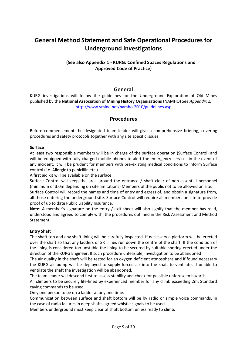# **General Method Statement and Safe Operational Procedures for Underground Investigations**

# **(See also Appendix 1 - KURG: Confined Spaces Regulations and Approved Code of Practice)**

# **General**

KURG investigations will follow the guidelines for the Underground Exploration of Old Mines published by the **National Association of Mining History Organisations** (NAMHO) *See Appendix 2.* <http://www.vmine.net/namho-2010/guidelines.asp>

# **Procedures**

Before commencement the designated team leader will give a comprehensive briefing, covering procedures and safety protocols together with any site specific issues.

#### **Surface**

At least two responsible members will be in charge of the surface operation (Surface Control) and will be equipped with fully charged mobile phones to alert the emergency services in the event of any incident. It will be prudent for members with pre-existing medical conditions to inform Surface control (i.e. Allergic to penicillin etc.)

A first aid kit will be available on the surface.

Surface Control will keep the area around the entrance / shaft clear of non-essential personnel (minimum of 3.0m depending on site limitations) Members of the public not to be allowed on site.

Surface Control will record the names and time of entry and egress of, and obtain a signature from, all those entering the underground site. Surface Control will require all members on site to provide proof of up to date Public Liability Insurance.

**Note:** A member's signature on the entry / exit sheet will also signify that the member has read, understood and agreed to comply with, the procedures outlined in the Risk Assessment and Method Statement.

# **Entry Shaft**

The shaft top and any shaft lining will be carefully inspected. If necessary a platform will be erected over the shaft so that any ladders or SRT lines run down the centre of the shaft. If the condition of the lining is considered too unstable the lining to be secured by suitable shoring erected under the direction of the KURG Engineer. If such procedure unfeasible, investigation to be abandoned

The air quality in the shaft will be tested for an oxygen deficient atmosphere and if found necessary the KURG air pump will be deployed to supply forced air into the shaft to ventilate. If unable to ventilate the shaft the investigation will be abandoned.

The team leader will descend first to assess stability and check for possible unforeseen hazards.

All climbers to be securely life-lined by experienced member for any climb exceeding 2m. Standard caving commands to be used.

Only one person to be on a ladder at any one time.

Communication between surface and shaft bottom will be by radio or simple voice commands. In the case of radio failures in deep shafts agreed whistle signals to be used.

Members underground must keep clear of shaft bottom unless ready to climb.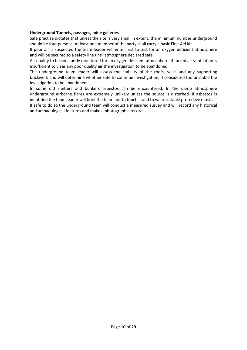## **Underground Tunnels, passages, mine galleries**

Safe practise dictates that unless the site is very small in extent, the minimum number underground should be four persons. At least one member of the party shall carry a basic First Aid kit.

If poor air is suspected the team leader will enter first to test for an oxygen deficient atmosphere and will be secured to a safety line until atmosphere declared safe.

Air quality to be constantly monitored for an oxygen deficient atmosphere. If forced air ventilation is insufficient to clear any poor quality air the investigation to be abandoned.

The underground team leader will assess the stability of the roofs, walls and any supporting brickwork and will determine whether safe to continue investigation. If considered too unstable the investigation to be abandoned.

In some old shelters and bunkers asbestos can be encountered. In the damp atmosphere underground airborne fibres are extremely unlikely unless the source is disturbed. If asbestos is identified the team leader will brief the team not to touch it and to wear suitable protective masks.

If safe to do so the underground team will conduct a measured survey and will record any historical and archaeological features and make a photographic record.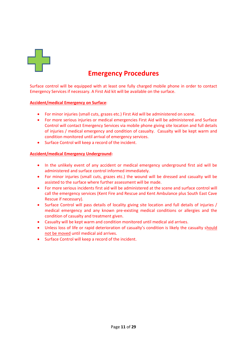

# **Emergency Procedures**

Surface control will be equipped with at least one fully charged mobile phone in order to contact Emergency Services if necessary. A First Aid kit will be available on the surface.

## **Accident/medical Emergency on Surface**:

- For minor injuries (small cuts, grazes etc.) First Aid will be administered on scene.
- For more serious injuries or medical emergencies First Aid will be administered and Surface Control will contact Emergency Services via mobile phone giving site location and full details of injuries / medical emergency and condition of casualty. Casualty will be kept warm and condition monitored until arrival of emergency services.
- Surface Control will keep a record of the incident.

## **Accident/medical Emergency Underground:**

- In the unlikely event of any accident or medical emergency underground first aid will be administered and surface control informed immediately.
- For minor injuries (small cuts, grazes etc.) the wound will be dressed and casualty will be assisted to the surface where further assessment will be made.
- For more serious incidents first aid will be administered at the scene and surface control will call the emergency services (Kent Fire and Rescue and Kent Ambulance plus South East Cave Rescue if necessary).
- Surface Control will pass details of locality giving site location and full details of injuries / medical emergency and any known pre-existing medical conditions or allergies and the condition of casualty and treatment given.
- Casualty will be kept warm and condition monitored until medical aid arrives.
- Unless loss of life or rapid deterioration of casualty's condition is likely the casualty should not be moved until medical aid arrives.
- Surface Control will keep a record of the incident.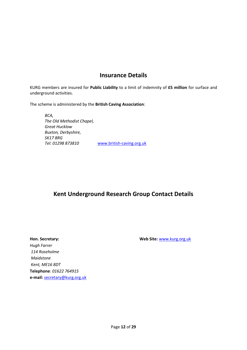# **Insurance Details**

KURG members are insured for **Public Liability** to a limit of indemnity of **£5 million** for surface and underground activities.

The scheme is administered by the **British Caving Association**:

*BCA, The Old Methodist Chapel, Great Hucklow Buxton, Derbyshire, SK17 8RG Tel: 01298 873810* [www.british-caving.org.uk](http://www.british-caving.org.uk/)

# **Kent Underground Research Group Contact Details**

*Hugh Farrer 114 Roseholme Maidstone Kent, ME16 8DT* **Telephone**: *01622 764915* **e-mail:** [secretary@kurg.org.uk](mailto:secretary@kurg.org.uk)

**Hon. Secretary: Web Site:** [www.kurg.org.uk](http://www.kurg.org.uk/)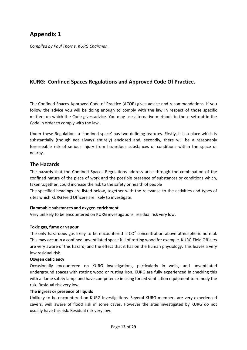# **Appendix 1**

*Compiled by Paul Thorne, KURG Chairman.*

# **KURG: Confined Spaces Regulations and Approved Code Of Practice.**

The Confined Spaces Approved Code of Practice (ACOP) gives advice and recommendations. If you follow the advice you will be doing enough to comply with the law in respect of those specific matters on which the Code gives advice. You may use alternative methods to those set out in the Code in order to comply with the law.

Under these Regulations a 'confined space' has two defining features. Firstly, it is a place which is substantially (though not always entirely) enclosed and, secondly, there will be a reasonably foreseeable risk of serious injury from hazardous substances or conditions within the space or nearby.

# **The Hazards**

The hazards that the Confined Spaces Regulations address arise through the combination of the confined nature of the place of work and the possible presence of substances or conditions which, taken together, could increase the risk to the safety or health of people

The specified headings are listed below, together with the relevance to the activities and types of sites which KURG Field Officers are likely to investigate.

# **Flammable substances and oxygen enrichment**

Very unlikely to be encountered on KURG investigations, residual risk very low.

#### **Toxic gas, fume or vapour**

The only hazardous gas likely to be encountered is  $CO<sup>2</sup>$  concentration above atmospheric normal. This may occur in a confined unventilated space full of rotting wood for example. KURG Field Officers are very aware of this hazard, and the effect that it has on the human physiology. This leaves a very low residual risk.

#### **Oxygen deficiency**

Occasionally encountered on KURG investigations, particularly in wells, and unventilated underground spaces with rotting wood or rusting iron. KURG are fully experienced in checking this with a flame safety lamp, and have competence in using forced ventilation equipment to remedy the risk. Residual risk very low.

#### **The ingress or presence of liquids**

Unlikely to be encountered on KURG investigations. Several KURG members are very experienced cavers, well aware of flood risk in some caves. However the sites investigated by KURG do not usually have this risk. Residual risk very low.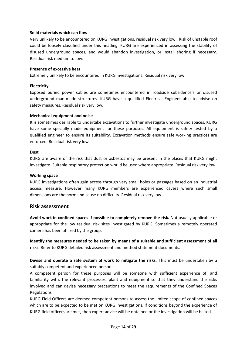### **Solid materials which can flow**

Very unlikely to be encountered on KURG investigations, residual risk very low. Risk of unstable roof could be loosely classified under this heading. KURG are experienced in assessing the stability of disused underground spaces, and would abandon investigation, or install shoring if necessary. Residual risk medium to low.

## **Presence of excessive heat**

Extremely unlikely to be encountered in KURG investigations. Residual risk very low.

## **Electricity**

Exposed buried power cables are sometimes encountered in roadside subsidence's or disused underground man-made structures. KURG have a qualified Electrical Engineer able to advise on safety measures. Residual risk very low.

#### **Mechanical equipment and noise**

It is sometimes desirable to undertake excavations to further investigate underground spaces. KURG have some specially made equipment for these purposes. All equipment is safety tested by a qualified engineer to ensure its suitability. Excavation methods ensure safe working practices are enforced. Residual risk very low.

## **Dust**

KURG are aware of the risk that dust or asbestos may be present in the places that KURG might investigate. Suitable respiratory protection would be used where appropriate. Residual risk very low.

#### **Working space**

KURG investigations often gain access through very small holes or passages based on an industrial access measure. However many KURG members are experienced cavers where such small dimensions are the norm and cause no difficulty. Residual risk very low.

# **Risk assessment**

**Avoid work in confined spaces if possible to completely remove the risk.** Not usually applicable or appropriate for the low residual risk sites investigated by KURG. Sometimes a remotely operated camera has been utilized by the group.

**Identify the measures needed to be taken by means of a suitable and sufficient assessment of all risks.** Refer to KURG detailed risk assessment and method statement documents.

**Devise and operate a safe system of work to mitigate the risks.** This must be undertaken by a suitably competent and experienced person:

A competent person for these purposes will be someone with sufficient experience of, and familiarity with, the relevant processes, plant and equipment so that they understand the risks involved and can devise necessary precautions to meet the requirements of the Confined Spaces Regulations.

KURG Field Officers are deemed competent persons to assess the limited scope of confined spaces which are to be expected to be met on KURG investigations. If conditions beyond the experience of KURG field officers are met, then expert advice will be obtained or the investigation will be halted.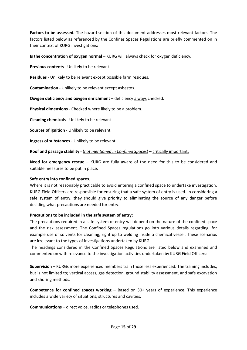**Factors to be assessed.** The hazard section of this document addresses most relevant factors. The factors listed below as referenced by the Confines Spaces Regulations are briefly commented on in their context of KURG investigations:

**Is the concentration of oxygen normal** – KURG will always check for oxygen deficiency.

**Previous contents** - Unlikely to be relevant.

**Residues** - Unlikely to be relevant except possible farm residues.

**Contamination** - Unlikely to be relevant except asbestos.

**Oxygen deficiency and oxygen enrichment** – deficiency always checked.

**Physical dimensions** - Checked where likely to be a problem.

**Cleaning chemicals** - Unlikely to be relevant

**Sources of ignition** - Unlikely to be relevant.

**Ingress of substances** - Unlikely to be relevant.

**Roof and passage stability** - (*not mentioned in Confined Spaces*) – critically important.

**Need for emergency rescue** – KURG are fully aware of the need for this to be considered and suitable measures to be put in place.

#### **Safe entry into confined spaces.**

Where it is not reasonably practicable to avoid entering a confined space to undertake investigation, KURG Field Officers are responsible for ensuring that a safe system of entry is used. In considering a safe system of entry, they should give priority to eliminating the source of any danger before deciding what precautions are needed for entry.

#### **Precautions to be included in the safe system of entry:**

The precautions required in a safe system of entry will depend on the nature of the confined space and the risk assessment. The Confined Spaces regulations go into various details regarding, for example use of solvents for cleaning, right up to welding inside a chemical vessel. These scenarios are irrelevant to the types of investigations undertaken by KURG.

The headings considered in the Confined Spaces Regulations are listed below and examined and commented on with relevance to the investigation activities undertaken by KURG Field Officers:

**Supervisio**n – KURGs more experienced members train those less experienced. The training includes, but is not limited to; vertical access, gas detection, ground stability assessment, and safe excavation and shoring methods.

**Competence for confined spaces working** – Based on 30+ years of experience. This experience includes a wide variety of situations, structures and cavities.

**Communications** – direct voice, radios or telephones used.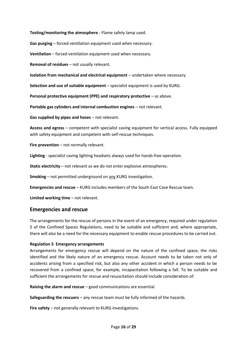**Testing/monitoring the atmosphere** - Flame safety lamp used.

**Gas purging** – forced ventilation equipment used when necessary.

**Ventilation** – forced ventilation equipment used when necessary.

**Removal of residues** – not usually relevant.

**Isolation from mechanical and electrical equipment** – undertaken where necessary.

**Selection and use of suitable equipment** – specialist equipment is used by KURG.

**Personal protective equipment (PPE) and respiratory protective** – as above.

**Portable gas cylinders and internal combustion engines** – not relevant.

**Gas supplied by pipes and hoses** – not relevant.

**Access and egress** – competent with specialist caving equipment for vertical access. Fully equipped with safety equipment and competent with self-rescue techniques.

**Fire prevention** – not normally relevant.

**Lighting** - specialist caving lighting headsets always used for hands-free operation.

**Static electricity** – not relevant as we do not enter explosive atmospheres.

**Smoking** – not permitted underground on any KURG investigation.

**Emergencies and rescue** – KURG includes members of the South East Cave Rescue team.

**Limited working time** – not relevant.

# **Emergencies and rescue**

The arrangements for the rescue of persons in the event of an emergency, required under regulation 5 of the Confined Spaces Regulations, need to be suitable and sufficient and, where appropriate, there will also be a need for the necessary equipment to enable rescue procedures to be carried out.

#### **Regulation 5 Emergency arrangements**

Arrangements for emergency rescue will depend on the nature of the confined space, the risks identified and the likely nature of an emergency rescue. Account needs to be taken not only of accidents arising from a specified risk, but also any other accident in which a person needs to be recovered from a confined space, for example, incapacitation following a fall. To be suitable and sufficient the arrangements for rescue and resuscitation should include consideration of:

**Raising the alarm and rescue** – good communications are essential.

**Safeguarding the rescuers** – any rescue team must be fully informed of the hazards.

**Fire safety** – not generally relevant to KURG investigations.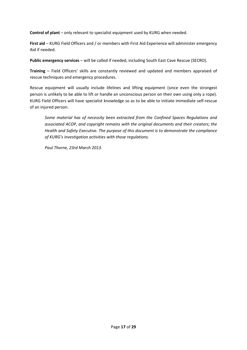**Control of plant** – only relevant to specialist equipment used by KURG when needed.

**First aid** – KURG Field Officers and / or members with First Aid Experience will administer emergency Aid if needed.

**Public emergency services** – will be called if needed, including South East Cave Rescue (SECRO).

**Training** – Field Officers' skills are constantly reviewed and updated and members appraised of rescue techniques and emergency procedures.

Rescue equipment will usually include lifelines and lifting equipment (since even the strongest person is unlikely to be able to lift or handle an unconscious person on their own using only a rope). KURG Field Officers will have specialist knowledge so as to be able to initiate immediate self-rescue of an injured person.

*Some material has of necessity been extracted from the Confined Spaces Regulations and associated ACOP, and copyright remains with the original documents and their creators; the Health and Safety Executive. The purpose of this document is to demonstrate the compliance of KURG's investigation activities with those regulations.*

*Paul Thorne, 23rd March 2013.*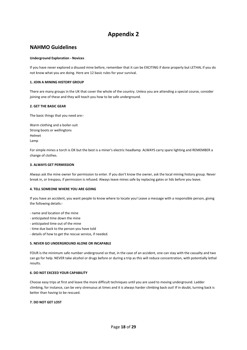# **Appendix 2**

# **NAHMO Guidelines**

#### **Underground Exploration - Novices**

If you have never explored a disused mine before, remember that it can be EXCITING if done properly but LETHAL if you do not know what you are doing. Here are 12 basic rules for your survival.

#### **1. JOIN A MINING HISTORY GROUP**

There are many groups in the UK that cover the whole of the country. Unless you are attending a special course, consider joining one of these and they will teach you how to be safe underground.

#### **2. GET THE BASIC GEAR**

The basic things that you need are:-

Warm clothing and a boiler-suit Strong boots or wellingtons Helmet Lamp

For simple mines a torch is OK but the best is a miner's electric headlamp. ALWAYS carry spare lighting and REMEMBER a change of clothes.

#### **3. ALWAYS GET PERMISSION**

Always ask the mine owner for permission to enter. If you don't know the owner, ask the local mining history group. Never break in, or trespass, if permission is refused. Always leave mines safe by replacing gates or lids before you leave.

#### **4. TELL SOMEONE WHERE YOU ARE GOING**

If you have an accident, you want people to know where to locate you! Leave a message with a responsible person, giving the following details:-

- name and location of the mine
- anticipated time down the mine
- anticipated time out of the mine
- time due back to the person you have told
- details of how to get the rescue service, if needed.

#### **5. NEVER GO UNDERGROUND ALONE OR INCAPABLE**

FOUR is the minimum safe number underground so that, in the case of an accident, one can stay with the casualty and two can go for help. NEVER take alcohol or drugs before or during a trip as this will reduce concentration, with potentially lethal results.

#### **6. DO NOT EXCEED YOUR CAPABILITY**

Choose easy trips at first and leave the more difficult techniques until you are used to moving underground. Ladder climbing, for instance, can be very strenuous at times and it is always harder climbing back out! If in doubt, turning back is better than having to be rescued.

#### **7. DO NOT GET LOST**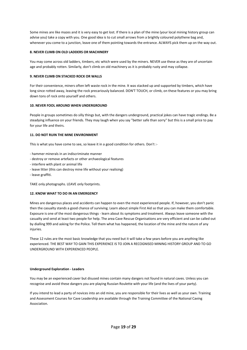Some mines are like mazes and it is very easy to get lost. If there is a plan of the mine (your local mining history group can advise you) take a copy with you. One good idea is to cut small arrows from a brightly coloured polythene bag and, whenever you come to a junction, leave one of them pointing towards the entrance. ALWAYS pick them up on the way out.

#### **8. NEVER CLIMB ON OLD LADDERS OR MACHINERY**

You may come across old ladders, timbers, etc which were used by the miners. NEVER use these as they are of uncertain age and probably rotten. Similarly, don't climb on old machinery as it is probably rusty and may collapse.

#### **9. NEVER CLIMB ON STACKED ROCK OR WALLS**

For their convenience, miners often left waste rock in the mine. It was stacked up and supported by timbers, which have long since rotted away, leaving the rock precariously balanced. DON'T TOUCH, or climb, on these features or you may bring down tons of rock onto yourself and others.

#### **10. NEVER FOOL AROUND WHEN UNDERGROUND**

People in groups sometimes do silly things but, with the dangers underground, practical jokes can have tragic endings. Be a steadying influence on your friends. They may laugh when you say "better safe than sorry" but this is a small price to pay for your life and theirs.

#### **11. DO NOT RUIN THE MINE ENVIRONMENT**

This is what you have come to see, so leave it in a good condition for others. Don't :-

- hammer minerals in an indiscriminate manner
- destroy or remove artefacts or other archaeological features
- interfere with plant or animal life
- leave litter (this can destroy mine life without your realising)
- leave graffiti.

TAKE only photographs. LEAVE only footprints.

#### **12. KNOW WHAT TO DO IN AN EMERGENCY**

Mines are dangerous places and accidents can happen to even the most experienced people. If, however, you don't panic then the casualty stands a good chance of surviving. Learn about simple First Aid so that you can make them comfortable. Exposure is one of the most dangerous things - learn about its symptoms and treatment. Always leave someone with the casualty and send at least two people for help. The area Cave Rescue Organisations are very efficient and can be called out by dialling 999 and asking for the Police. Tell them what has happened, the location of the mine and the nature of any injuries.

These 12 rules are the most basic knowledge that you need but it will take a few years before you are anything like experienced. THE BEST WAY TO GAIN THIS EXPERIENCE IS TO JOIN A RECOGNISED MINING HISTORY GROUP AND TO GO UNDERGROUND WITH EXPERIENCED PEOPLE.

#### **Underground Exploration - Leaders**

You may be an experienced caver but disused mines contain many dangers not found in natural caves. Unless you can recognise and avoid these dangers you are playing Russian Roulette with your life (and the lives of your party).

If you intend to lead a party of novices into an old mine, you are responsible for their lives as well as your own. Training and Assessment Courses for Cave Leadership are available through the Training Committee of the National Caving Association.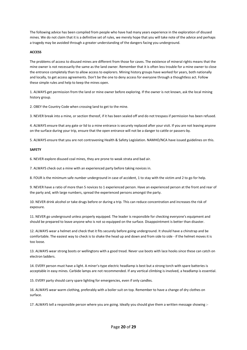The following advice has been compiled from people who have had many years experience in the exploration of disused mines. We do not claim that it is a definitive set of rules, we merely hope that you will take note of the advice and perhaps a tragedy may be avoided through a greater understanding of the dangers facing you underground.

#### **ACCESS**

The problems of access to disused mines are different from those for caves. The existence of mineral rights means that the mine owner is not necessarily the same as the land owner. Remember that it is often less trouble for a mine owner to close the entrance completely than to allow access to explorers. Mining history groups have worked for years, both nationally and locally, to get access agreements. Don't be the one to deny access for everyone through a thoughtless act. Follow these simple rules and help to keep the mines open.

1. ALWAYS get permission from the land or mine owner before exploring. If the owner is not known, ask the local mining history group.

2. OBEY the Country Code when crossing land to get to the mine.

3. NEVER break into a mine, or section thereof, if it has been sealed off and do not trespass if permission has been refused.

4. ALWAYS ensure that any gate or lid to a mine entrance is securely replaced after your visit. If you are not leaving anyone on the surface during your trip, ensure that the open entrance will not be a danger to cattle or passers-by.

5. ALWAYS ensure that you are not contravening Health & Safety Legislation. NAMHO/NCA have issued guidelines on this.

#### **SAFETY**

6. NEVER explore disused coal mines, they are prone to weak strata and bad air.

7. ALWAYS check out a mine with an experienced party before taking novices in.

8. FOUR is the minimum safe number underground in case of accident, 1 to stay with the victim and 2 to go for help.

9. NEVER have a ratio of more than 5 novices to 1 experienced person. Have an experienced person at the front and rear of the party and, with large numbers, spread the experienced persons amongst the party.

10. NEVER drink alcohol or take drugs before or during a trip. This can reduce concentration and increases the risk of exposure.

11. NEVER go underground unless properly equipped. The leader is responsible for checking everyone's equipment and should be prepared to leave anyone who is not so equipped on the surface. Disappointment is better than disaster.

12. ALWAYS wear a helmet and check that it fits securely before going underground. It should have a chinstrap and be comfortable. The easiest way to check is to shake the head up and down and from side to side - if the helmet moves it is too loose.

13. ALWAYS wear strong boots or wellingtons with a good tread. Never use boots with lace hooks since these can catch on electron ladders.

14. EVERY person must have a light. A miner's-type electric headlamp is best but a strong torch with spare batteries is acceptable in easy mines. Carbide lamps are not recommended. If any vertical climbing is involved, a headlamp is essential.

15. EVERY party should carry spare lighting for emergencies, even if only candles.

16. ALWAYS wear warm clothing, preferably with a boiler suit on top. Remember to have a change of dry clothes on surface.

17. ALWAYS tell a responsible person where you are going. Ideally you should give them a written message showing :-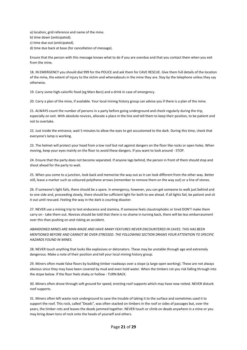a) location, grid reference and name of the mine.

b) time down (anticipated).

c) time due out (anticipated).

d) time due back at base (for cancellation of message).

Ensure that the person with this message knows what to do if you are overdue and that you contact them when you exit from the mine.

18. IN EMERGENCY you should dial 999 for the POLICE and ask them for CAVE RESCUE. Give them full details of the location of the mine, the extent of injury to the victim and whereabouts in the mine they are. Stay by the telephone unless they say otherwise.

19. Carry some high-calorific food (eg Mars Bars) and a drink in case of emergency.

20. Carry a plan of the mine, if available. Your local mining history group can advise you if there is a plan of the mine.

21. ALWAYS count the number of persons in a party before going underground and check regularly during the trip, especially on exit. With absolute novices, allocate a place in the line and tell them to keep their position, to be patient and not to overtake.

22. Just inside the entrance, wait 5 minutes to allow the eyes to get accustomed to the dark. During this time, check that everyone's lamp is working.

23. The helmet will protect your head from a low roof but not against dangers on the floor like rocks or open holes. When moving, keep your eyes mainly on the floor to avoid these dangers. If you want to look around - STOP.

24. Ensure that the party does not become separated. If anyone lags behind, the person in front of them should stop and shout ahead for the party to wait.

25. When you come to a junction, look back and memorise the way out as it can look different from the other way. Better still, leave a marker such as coloured polythene arrows (remember to remove them on the way out) or a line of stones.

26. If someone's light fails, there should be a spare. In emergency, however, you can get someone to walk just behind and to one side and, proceeding slowly, there should be sufficient light for both to see ahead. If all lights fail, be patient and sit it out until rescued. Feeling the way in the dark is courting disaster.

27. NEVER use a mining trip to test endurance and stamina. If someone feels claustrophobic or tired DON'T make them carry on - take them out. Novices should be told that there is no shame in turning back, there will be less embarrassment over this than pushing on and risking an accident.

*ABANDONED MINES ARE MAN-MADE AND HAVE MANY FEATURES NEVER ENCOUNTERED IN CAVES. THIS HAS BEEN MENTIONED BEFORE AND CANNOT BE OVER-STRESSED. THE FOLLOWING SECTION DRAWS YOUR ATTENTION TO SPECIFIC HAZARDS FOUND IN MINES.*

28. NEVER touch anything that looks like explosives or detonators. These may be unstable through age and extremely dangerous. Make a note of their position and tell your local mining history group.

29. Miners often made false floors by building timber roadways over a stope (a large open working). These are not always obvious since they may have been covered by mud and even hold water. When the timbers rot you risk falling through into the stope below. If the floor feels shaky or hollow - TURN BACK.

30. Miners often drove through soft ground for speed, erecting roof supports which may have now rotted. NEVER disturb roof supports.

31. Miners often left waste rock underground to save the trouble of taking it to the surface and sometimes used it to support the roof. This rock, called "Deads", was often stacked on timbers in the roof or sides of passages but, over the years, the timber rots and leaves the deads jammed together. NEVER touch or climb on deads anywhere in a mine or you may bring down tons of rock onto the heads of yourself and others.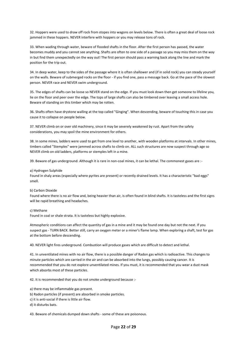32. Hoppers were used to draw off rock from stopes into wagons on levels below. There is often a great deal of loose rock jammed in these hoppers. NEVER interfere with hoppers or you may release tons of rock.

33. When wading through water, beware of flooded shafts in the floor. After the first person has passed, the water becomes muddy and you cannot see anything. Shafts are often to one side of a passage so you may miss them on the way in but find them unexpectedly on the way out! The first person should pass a warning back along the line and mark the position for the trip out.

34. In deep water, keep to the sides of the passage where it is often shallower and (if in solid rock) you can steady yourself on the walls. Beware of submerged rocks on the floor - if you find one, pass a message back. Go at the pace of the slowest person. NEVER race and NEVER swim underground.

35. The edges of shafts can be loose so NEVER stand on the edge. If you must look down then get someone to lifeline you, lie on the floor and peer over the edge. The tops of large shafts can also be timbered over leaving a small access hole. Beware of standing on this timber which may be rotten.

36. Shafts often have drystone walling at the top called "Ginging". When descending, beware of touching this in case you cause it to collapse on people below.

37. NEVER climb on or over old machinery, since it may be severely weakened by rust. Apart from the safety considerations, you may spoil the mine environment for others.

38. In some mines, ladders were used to get from one level to another, with wooden platforms at intervals. In other mines, timbers called "Stemples" were jammed across shafts to climb on. ALL such structures are now suspect through age so NEVER climb on old ladders, platforms or stemples left in a mine.

39. Beware of gas underground. Although it is rare in non-coal mines, it can be lethal. The commonest gases are :-

#### a) Hydrogen Sulphide

Found in shaly areas (especially where pyrites are present) or recently drained levels. It has a characteristic "bad eggs" smell.

#### b) Carbon Dioxide

Found where there is no air flow and, being heavier than air, is often found in blind shafts. It is tasteless and the first signs will be rapid breathing and headaches.

#### c) Methane

Found in coal or shale strata. It is tasteless but highly explosive.

Atmospheric conditions can affect the quantity of gas in a mine and it may be found one day but not the next. If you suspect gas - TURN BACK. Better still, carry an oxygen meter or a miner's flame lamp. When exploring a shaft, test for gas at the bottom before descending.

40. NEVER light fires underground. Combustion will produce gases which are difficult to detect and lethal.

41. In unventilated mines with no air flow, there is a possible danger of Radon gas which is radioactive. This changes to minute particles which are carried in the air and can be absorbed into the lungs, possibly causing cancer. It is recommended that you do not explore unventilated mines. If you must, it is recommended that you wear a dust mask which absorbs most of these particles.

42. It is recommended that you do not smoke underground because :-

- a) there may be inflammable gas present.
- b) Radon particles (if present) are absorbed in smoke particles.
- c) it is anti-social if there is little air flow.

d) it disturbs bats.

43. Beware of chemicals dumped down shafts - some of these are poisonous.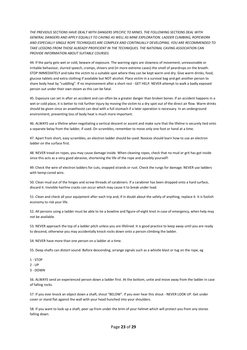*THE PREVIOUS SECTIONS HAVE DEALT WITH DANGERS SPECIFIC TO MINES. THE FOLLOWING SECTIONS DEAL WITH GENERAL DANGERS AND APPLY EQUALLY TO CAVING AS WELL AS MINE EXPLORATION. LADDER CLIMBING, ROPEWORK AND ESPECIALLY SINGLE ROPE TECHNIQUES ARE COMPLEX AND CONTINUALLY DEVELOPING. YOU ARE RECOMMENDED TO TAKE LESSONS FROM THOSE ALREADY PROFICIENT IN THE TECHNIQUES. THE NATIONAL CAVING ASSOCIATION CAN PROVIDE INFORMATION ABOUT SUITABLE COURSES.* 

44. If the party gets wet or cold, beware of exposure. The warning signs are slowness of movement, unreasonable or irritable behaviour, slurred speech, cramps, shivers and (in more extreme cases) the smell of peardrops on the breath. STOP IMMEDIATELY and take the victim to a suitable spot where they can be kept warm and dry. Give warm drinks, food, glucose tablets and extra clothing if available but NOT alcohol. Place victim in a survival bag and get another person to share body heat by "cuddling". If no improvement after a short rest - GET HELP. NEVER attempt to walk a badly exposed person out under their own steam as this can be fatal.

45. Exposure can set in after an accident and can often be a greater danger than broken bones. If an accident happens in a wet or cold place, it is better to risk further injury by moving the victim to a dry spot out of the direct air flow. Warm drinks should be given since an anaethesist can deal with a full stomach if a later operation is necessary. In an underground environment, preventing loss of body heat is much more important.

46. ALWAYS use a lifeline when negotiating a vertical descent or ascent and make sure that the lifeline is securely tied onto a separate belay from the ladder, if used. On scrambles, remember to move only one foot or hand at a time.

47. Apart from short, easy scrambles, an electron ladder should be used. Novices should learn how to use an electron ladder on the surface first.

48. NEVER tread on ropes, you may cause damage inside. When cleaning ropes, check that no mud or grit has got inside since this acts as a very good abrasive, shortening the life of the rope and possibly yourself!

49. Check the wire of electron ladders for cuts, snapped strands or rust. Check the rungs for damage. NEVER use ladders with hemp-cored wire.

50. Clean mud out of the hinges and screw threads of carabiners. If a carabiner has been dropped onto a hard surface, discard it. Invisible hairline cracks can occur which may cause it to break under load.

51. Clean and check all your equipment after each trip and, if in doubt about the safety of anything, replace it. It is foolish economy to risk your life.

52. All persons using a ladder must be able to tie a bowline and figure-of-eight knot in case of emergency, when help may not be available.

53. NEVER approach the top of a ladder pitch unless you are lifelined. It is good practice to keep away until you are ready to descend, otherwise you may accidentally knock rocks down onto a person climbing the ladder.

54. NEVER have more than one person on a ladder at a time.

55. Deep shafts can distort sound. Before descending, arrange signals such as a whistle blast or tug on the rope, eg

1 - STOP

2 - UP

3 - DOWN

56. ALWAYS send an experienced person down a ladder first. At the bottom, untie and move away from the ladder in case of falling rocks.

57. If you ever knock an object down a shaft, shout "BELOW". If you ever hear this shout - NEVER LOOK UP. Get under cover or stand flat against the wall with your head hunched into your shoulders.

58. If you want to look up a shaft, peer up from under the brim of your helmet which will protect you from any stones falling down.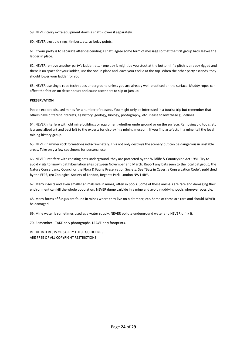59. NEVER carry extra equipment down a shaft - lower it separately.

60. NEVER trust old rings, timbers, etc. as belay points.

61. If your party is to separate after descending a shaft, agree some form of message so that the first group back leaves the ladder in place.

62. NEVER remove another party's ladder, etc. - one day it might be you stuck at the bottom! If a pitch is already rigged and there is no space for your ladder, use the one in place and leave your tackle at the top. When the other party ascends, they should lower your ladder for you.

63. NEVER use single rope techniques underground unless you are already well-practiced on the surface. Muddy ropes can affect the friction on descendeurs and cause ascenders to slip or jam up.

#### **PRESERVATION**

People explore disused mines for a number of reasons. You might only be interested in a tourist trip but remember that others have different interests, eg history, geology, biology, photography, etc. Please follow these guidelines.

64. NEVER interfere with old mine buildings or equipment whether underground or on the surface. Removing old tools, etc is a specialised art and best left to the experts for display in a mining museum. If you find artefacts in a mine, tell the local mining history group.

65. NEVER hammer rock formations indiscriminately. This not only destroys the scenery but can be dangerous in unstable areas. Take only a few specimens for personal use.

66. NEVER interfere with roosting bats underground, they are protected by the Wildlife & Countryside Act 1981. Try to avoid visits to known bat hibernation sites between November and March. Report any bats seen to the local bat group, the Nature Conservancy Council or the Flora & Fauna Preservation Society. See "Bats in Caves: a Conservation Code", published by the FFPS, c/o Zoological Society of London, Regents Park, London NW1 4RY.

67. Many insects and even smaller animals live in mines, often in pools. Some of these animals are rare and damaging their environment can kill the whole population. NEVER dump carbide in a mine and avoid muddying pools wherever possible.

68. Many forms of fungus are found in mines where they live on old timber, etc. Some of these are rare and should NEVER be damaged.

69. Mine water is sometimes used as a water supply. NEVER pollute underground water and NEVER drink it.

70. Remember - TAKE only photographs. LEAVE only footprints.

IN THE INTERESTS OF SAFETY THESE GUIDELINES ARE FREE OF ALL COPYRIGHT RESTRICTIONS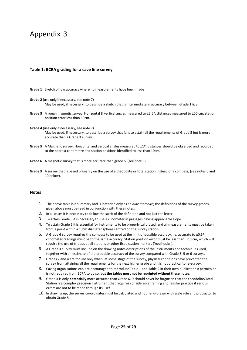# Appendix 3

#### **Table 1: BCRA grading for a cave line survey**

**Grade 1** Sketch of low accuracy where no measurements have been made

- **Grade 2** (use only if necessary, see note 7) May be used, if necessary, to describe a sketch that is intermediate in accuracy between Grade 1 & 3
- **Grade 3** A rough magnetic survey. Horizontal & vertical angles measured to ±2.5º; distances measured to ±50 cm; station position error less than 50cm.
- **Grade 4** (use only if necessary, see note 7)

May be used, if necessary, to describe a survey that fails to attain all the requirements of Grade 5 but is more accurate than a Grade 3 survey.

- **Grade 5** A Magnetic survey. Horizontal and vertical angles measured to ±1º; distances should be observed and recorded to the nearest centimetre and station positions identified to less than 10cm.
- **Grade 6** A magnetic survey that is more accurate than grade 5, (see note 5).
- Grade X A survey that is based primarily on the use of a theodolite or total station instead of a compass, (see notes 6 and 10 below).

#### **Notes**

- 1. The above table is a summary and is intended only as an *aide memoire*; the definitions of the survey grades given above must be read in conjunction with these notes.
- 2. In all cases it is necessary to follow the spirit of the definition and not just the letter.
- 3. To attain Grade 3 it is necessary to use a clinometer in passages having appreciable slope.
- 4. To attain Grade 5 it is essential for instruments to be properly calibrated, and all measurements must be taken from a point within a 10cm diameter sphere centred on the survey station.
- 5. A Grade 6 survey requires the compass to be used at the limit of possible accuracy, i.e. accurate to ±0.5º; clinometer readings must be to the same accuracy. Station position error must be less than ±2.5 cm, which will require the use of tripods at all stations or other fixed station markers ('roofhooks').
- 6. A Grade X survey must include on the drawing notes descriptions of the instruments and techniques used, together with an estimate of the probable accuracy of the survey compared with Grade 3, 5 or 6 surveys.
- 7. Grades 2 and 4 are for use only when, at some stage of the survey, physical conditions have prevented the survey from attaining all the requirements for the next higher grade and it is not practical to re-survey.
- 8. Caving organisations etc. are encouraged to reproduce Table 1 and Table 2 in their own publications; permission is not required from BCRA to do so, **but the tables must not be reprinted without these notes**.
- 9. Grade X is only **potentially** more accurate than Grade 6. It should never be forgotten that the theodolite/Total Station is a complex precision instrument that requires considerable training and regular practice if serious errors are not to be made through its use!
- 10. In drawing up, the survey co-ordinates **must** be calculated and not hand-drawn with scale rule and protractor to obtain Grade 5.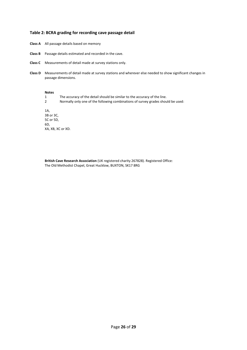#### **Table 2: BCRA grading for recording cave passage detail**

- **Class A** All passage details based on memory
- **Class B** Passage details estimated and recorded in the cave.
- **Class C** Measurements of detail made at survey stations only.
- **Class D** Measurements of detail made at survey stations and wherever else needed to show significant changes in passage dimensions.

#### **Notes**

- 1 The accuracy of the detail should be similar to the accuracy of the line.
- 2 Normally only one of the following combinations of survey grades should be used:

1A, 3B or 3C, 5C or 5D, 6D, XA, XB, XC or XD.

**British Cave Research Association** (UK registered charity 267828). Registered Office: The Old Methodist Chapel, Great Hucklow, BUXTON, SK17 8RG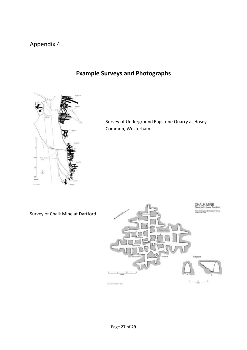# Appendix 4



# **Example Surveys and Photographs**

Survey of Underground Ragstone Quarry at Hosey Common, Westerham

Survey of Chalk Mine at Dartford

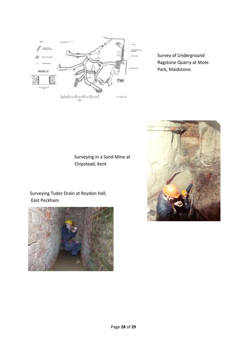

Survey of Underground Ragstone Quarry at Mote Park, Maidstone.



Surveying Tudor Drain at Roydon Hall, East Peckham